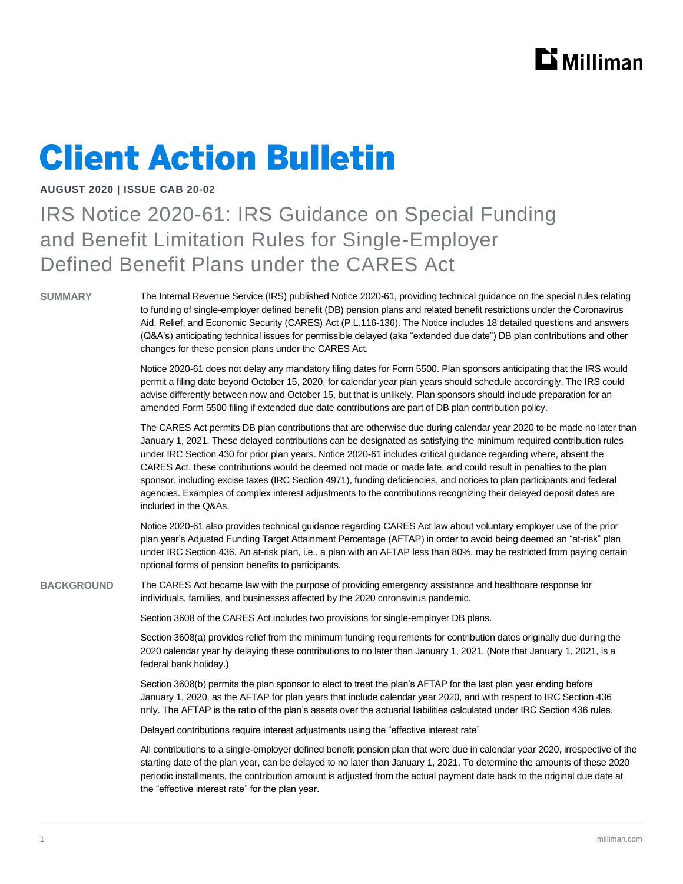## $\mathbf{D}$  Milliman

# **Client Action Bulletin**

### **AUGUST 2020 | ISSUE CAB 20-02**

### IRS Notice 2020-61: IRS Guidance on Special Funding and Benefit Limitation Rules for Single-Employer Defined Benefit Plans under the CARES Act

**SUMMARY** The Internal Revenue Service (IRS) published Notice 2020-61, providing technical guidance on the special rules relating to funding of single-employer defined benefit (DB) pension plans and related benefit restrictions under the Coronavirus Aid, Relief, and Economic Security (CARES) Act (P.L.116-136). The Notice includes 18 detailed questions and answers (Q&A's) anticipating technical issues for permissible delayed (aka "extended due date") DB plan contributions and other changes for these pension plans under the CARES Act.

> Notice 2020-61 does not delay any mandatory filing dates for Form 5500. Plan sponsors anticipating that the IRS would permit a filing date beyond October 15, 2020, for calendar year plan years should schedule accordingly. The IRS could advise differently between now and October 15, but that is unlikely. Plan sponsors should include preparation for an amended Form 5500 filing if extended due date contributions are part of DB plan contribution policy.

The CARES Act permits DB plan contributions that are otherwise due during calendar year 2020 to be made no later than January 1, 2021. These delayed contributions can be designated as satisfying the minimum required contribution rules under IRC Section 430 for prior plan years. Notice 2020-61 includes critical guidance regarding where, absent the CARES Act, these contributions would be deemed not made or made late, and could result in penalties to the plan sponsor, including excise taxes (IRC Section 4971), funding deficiencies, and notices to plan participants and federal agencies. Examples of complex interest adjustments to the contributions recognizing their delayed deposit dates are included in the Q&As.

Notice 2020-61 also provides technical guidance regarding CARES Act law about voluntary employer use of the prior plan year's Adjusted Funding Target Attainment Percentage (AFTAP) in order to avoid being deemed an "at-risk" plan under IRC Section 436. An at-risk plan, i.e., a plan with an AFTAP less than 80%, may be restricted from paying certain optional forms of pension benefits to participants.

**BACKGROUND** The CARES Act became law with the purpose of providing emergency assistance and healthcare response for individuals, families, and businesses affected by the 2020 coronavirus pandemic.

Section 3608 of the CARES Act includes two provisions for single-employer DB plans.

Section 3608(a) provides relief from the minimum funding requirements for contribution dates originally due during the 2020 calendar year by delaying these contributions to no later than January 1, 2021. (Note that January 1, 2021, is a federal bank holiday.)

Section 3608(b) permits the plan sponsor to elect to treat the plan's AFTAP for the last plan year ending before January 1, 2020, as the AFTAP for plan years that include calendar year 2020, and with respect to IRC Section 436 only. The AFTAP is the ratio of the plan's assets over the actuarial liabilities calculated under IRC Section 436 rules.

Delayed contributions require interest adjustments using the "effective interest rate"

All contributions to a single-employer defined benefit pension plan that were due in calendar year 2020, irrespective of the starting date of the plan year, can be delayed to no later than January 1, 2021. To determine the amounts of these 2020 periodic installments, the contribution amount is adjusted from the actual payment date back to the original due date at the "effective interest rate" for the plan year.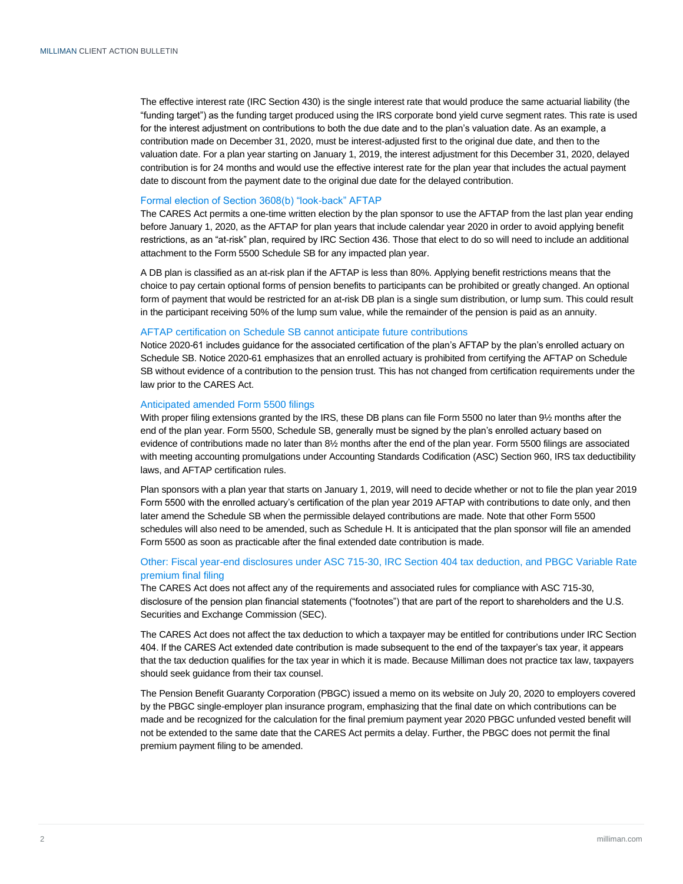The effective interest rate (IRC Section 430) is the single interest rate that would produce the same actuarial liability (the "funding target") as the funding target produced using the IRS corporate bond yield curve segment rates. This rate is used for the interest adjustment on contributions to both the due date and to the plan's valuation date. As an example, a contribution made on December 31, 2020, must be interest-adjusted first to the original due date, and then to the valuation date. For a plan year starting on January 1, 2019, the interest adjustment for this December 31, 2020, delayed contribution is for 24 months and would use the effective interest rate for the plan year that includes the actual payment date to discount from the payment date to the original due date for the delayed contribution.

#### Formal election of Section 3608(b) "look-back" AFTAP

The CARES Act permits a one-time written election by the plan sponsor to use the AFTAP from the last plan year ending before January 1, 2020, as the AFTAP for plan years that include calendar year 2020 in order to avoid applying benefit restrictions, as an "at-risk" plan, required by IRC Section 436. Those that elect to do so will need to include an additional attachment to the Form 5500 Schedule SB for any impacted plan year.

A DB plan is classified as an at-risk plan if the AFTAP is less than 80%. Applying benefit restrictions means that the choice to pay certain optional forms of pension benefits to participants can be prohibited or greatly changed. An optional form of payment that would be restricted for an at-risk DB plan is a single sum distribution, or lump sum. This could result in the participant receiving 50% of the lump sum value, while the remainder of the pension is paid as an annuity.

#### AFTAP certification on Schedule SB cannot anticipate future contributions

Notice 2020-61 includes guidance for the associated certification of the plan's AFTAP by the plan's enrolled actuary on Schedule SB. Notice 2020-61 emphasizes that an enrolled actuary is prohibited from certifying the AFTAP on Schedule SB without evidence of a contribution to the pension trust. This has not changed from certification requirements under the law prior to the CARES Act.

#### Anticipated amended Form 5500 filings

With proper filing extensions granted by the IRS, these DB plans can file Form 5500 no later than 91/2 months after the end of the plan year. Form 5500, Schedule SB, generally must be signed by the plan's enrolled actuary based on evidence of contributions made no later than 8½ months after the end of the plan year. Form 5500 filings are associated with meeting accounting promulgations under Accounting Standards Codification (ASC) Section 960, IRS tax deductibility laws, and AFTAP certification rules.

Plan sponsors with a plan year that starts on January 1, 2019, will need to decide whether or not to file the plan year 2019 Form 5500 with the enrolled actuary's certification of the plan year 2019 AFTAP with contributions to date only, and then later amend the Schedule SB when the permissible delayed contributions are made. Note that other Form 5500 schedules will also need to be amended, such as Schedule H. It is anticipated that the plan sponsor will file an amended Form 5500 as soon as practicable after the final extended date contribution is made.

#### Other: Fiscal year-end disclosures under ASC 715-30, IRC Section 404 tax deduction, and PBGC Variable Rate premium final filing

The CARES Act does not affect any of the requirements and associated rules for compliance with ASC 715-30, disclosure of the pension plan financial statements ("footnotes") that are part of the report to shareholders and the U.S. Securities and Exchange Commission (SEC).

The CARES Act does not affect the tax deduction to which a taxpayer may be entitled for contributions under IRC Section 404. If the CARES Act extended date contribution is made subsequent to the end of the taxpayer's tax year, it appears that the tax deduction qualifies for the tax year in which it is made. Because Milliman does not practice tax law, taxpayers should seek guidance from their tax counsel.

The Pension Benefit Guaranty Corporation (PBGC) issued a memo on its website on July 20, 2020 to employers covered by the PBGC single-employer plan insurance program, emphasizing that the final date on which contributions can be made and be recognized for the calculation for the final premium payment year 2020 PBGC unfunded vested benefit will not be extended to the same date that the CARES Act permits a delay. Further, the PBGC does not permit the final premium payment filing to be amended.